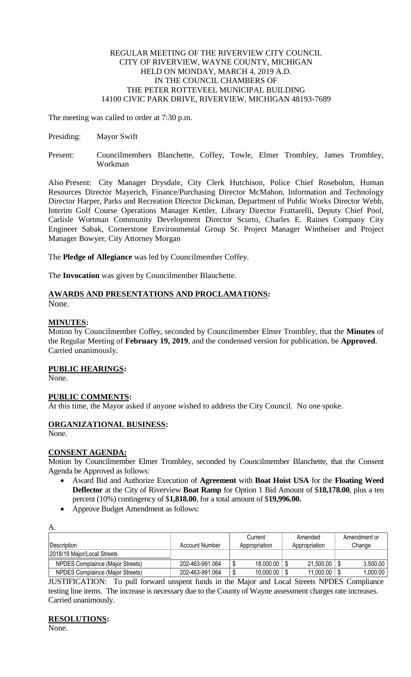#### REGULAR MEETING OF THE RIVERVIEW CITY COUNCIL CITY OF RIVERVIEW, WAYNE COUNTY, MICHIGAN HELD ON MONDAY, MARCH 4, 2019 A.D. IN THE COUNCIL CHAMBERS OF THE PETER ROTTEVEEL MUNICIPAL BUILDING 14100 CIVIC PARK DRIVE, RIVERVIEW, MICHIGAN 48193-7689

The meeting was called to order at 7:30 p.m.

- Presiding: Mayor Swift
- Present: Councilmembers Blanchette, Coffey, Towle, Elmer Trombley, James Trombley, Workman

Also Present: City Manager Drysdale, City Clerk Hutchison, Police Chief Rosebohm, Human Resources Director Mayerich, Finance/Purchasing Director McMahon, Information and Technology Director Harper, Parks and Recreation Director Dickman, Department of Public Works Director Webb, Interim Golf Course Operations Manager Kettler, Library Director Frattarelli, Deputy Chief Pool, Carlisle Wortman Community Development Director Scurto, Charles E. Raines Company City Engineer Sabak, Cornerstone Environmental Group Sr. Project Manager Wintheiser and Project Manager Bowyer, City Attorney Morgan

The **Pledge of Allegiance** was led by Councilmember Coffey.

The **Invocation** was given by Councilmember Blanchette.

# **AWARDS AND PRESENTATIONS AND PROCLAMATIONS:**

None.

### **MINUTES:**

Motion by Councilmember Coffey, seconded by Councilmember Elmer Trombley, that the **Minutes** of the Regular Meeting of **February 19, 2019**, and the condensed version for publication, be **Approved**. Carried unanimously.

# **PUBLIC HEARINGS:**

None.

### **PUBLIC COMMENTS:**

At this time, the Mayor asked if anyone wished to address the City Council. No one spoke.

# **ORGANIZATIONAL BUSINESS:**

None.

### **CONSENT AGENDA:**

Motion by Councilmember Elmer Trombley, seconded by Councilmember Blanchette, that the Consent Agenda be Approved as follows:

- Award Bid and Authorize Execution of **Agreement** with **Boat Hoist USA** for the **Floating Weed Deflector** at the City of Riverview **Boat Ramp** for Option 1 Bid Amount of \$**18,178.00**, plus a ten percent (10%) contingency of \$**1,818.00**, for a total amount of \$**19,996.00.**
- Approve Budget Amendment as follows:

| A.                               |                 |   |               |               |              |
|----------------------------------|-----------------|---|---------------|---------------|--------------|
|                                  |                 |   | Current       | Amended       | Amendment or |
| <i><b>IDescription</b></i>       | Account Number  |   | Appropriation | Appropriation | Change       |
| 2018/19 Maior/Local Streets      |                 |   |               |               |              |
| NPDES Complaince (Major Streets) | 202-463-991.064 | D | 18,000.00     | 21,500.00     | 3,500.00     |
| NPDES Complaince (Major Streets) | 202-463-991.064 |   | 10,000.00     | 11,000.00     | 1,000.00     |

JUSTIFICATION: To pull forward unspent funds in the Major and Local Streets NPDES Compliance testing line items. The increase is necessary due to the County of Wayne assessment charges rate increases. Carried unanimously.

# **RESOLUTIONS:**

None.